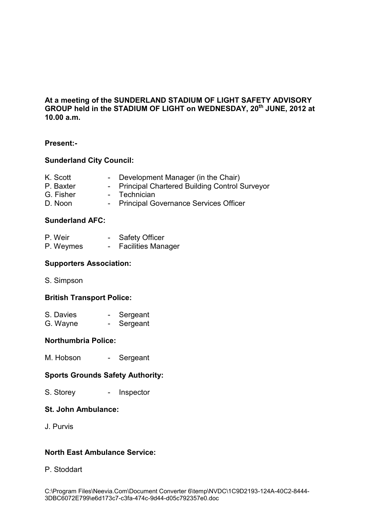# **At a meeting of the SUNDERLAND STADIUM OF LIGHT SAFETY ADVISORY GROUP held in the STADIUM OF LIGHT on WEDNESDAY, 20th JUNE, 2012 at 10.00 a.m.**

# **Present:-**

## **Sunderland City Council:**

- K. Scott Development Manager (in the Chair)<br>P. Baxter Principal Chartered Building Control S
- P. Baxter Principal Chartered Building Control Surveyor<br>G. Fisher Technician
- Technician
- D. Noon Principal Governance Services Officer

## **Sunderland AFC:**

| P. Weir   | <b>Safety Officer</b>     |
|-----------|---------------------------|
| P. Weymes | <b>Facilities Manager</b> |

### **Supporters Association:**

S. Simpson

### **British Transport Police:**

| S. Davies | Sergeant |
|-----------|----------|
| G. Wayne  | Sergeant |

### **Northumbria Police:**

M. Hobson - Sergeant

# **Sports Grounds Safety Authority:**

S. Storey - Inspector

### **St. John Ambulance:**

J. Purvis

# **North East Ambulance Service:**

### P. Stoddart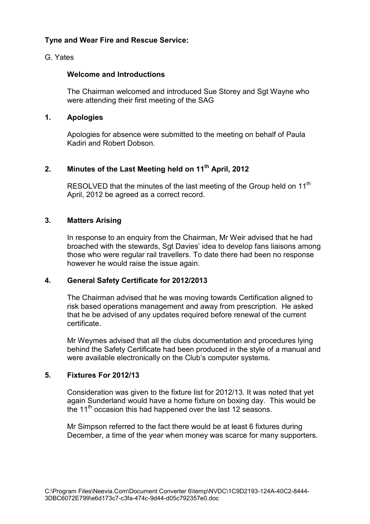# **Tyne and Wear Fire and Rescue Service:**

## G. Yates

### **Welcome and Introductions**

The Chairman welcomed and introduced Sue Storey and Sgt Wayne who were attending their first meeting of the SAG

### **1. Apologies**

Apologies for absence were submitted to the meeting on behalf of Paula Kadiri and Robert Dobson.

## **2. Minutes of the Last Meeting held on 11th April, 2012**

RESOLVED that the minutes of the last meeting of the Group held on 11<sup>th</sup> April, 2012 be agreed as a correct record.

## **3. Matters Arising**

In response to an enquiry from the Chairman, Mr Weir advised that he had broached with the stewards, Sgt Davies' idea to develop fans liaisons among those who were regular rail travellers. To date there had been no response however he would raise the issue again.

### **4. General Safety Certificate for 2012/2013**

The Chairman advised that he was moving towards Certification aligned to risk based operations management and away from prescription. He asked that he be advised of any updates required before renewal of the current certificate.

 Mr Weymes advised that all the clubs documentation and procedures lying behind the Safety Certificate had been produced in the style of a manual and were available electronically on the Club's computer systems.

### **5. Fixtures For 2012/13**

 Consideration was given to the fixture list for 2012/13. It was noted that yet again Sunderland would have a home fixture on boxing day. This would be the 11<sup>th</sup> occasion this had happened over the last 12 seasons.

 Mr Simpson referred to the fact there would be at least 6 fixtures during December, a time of the year when money was scarce for many supporters.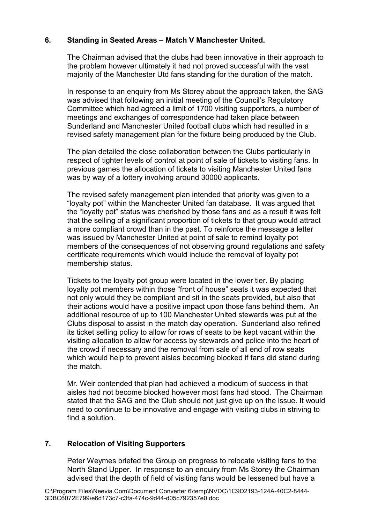# **6. Standing in Seated Areas – Match V Manchester United.**

The Chairman advised that the clubs had been innovative in their approach to the problem however ultimately it had not proved successful with the vast majority of the Manchester Utd fans standing for the duration of the match.

In response to an enquiry from Ms Storey about the approach taken, the SAG was advised that following an initial meeting of the Council's Regulatory Committee which had agreed a limit of 1700 visiting supporters, a number of meetings and exchanges of correspondence had taken place between Sunderland and Manchester United football clubs which had resulted in a revised safety management plan for the fixture being produced by the Club.

The plan detailed the close collaboration between the Clubs particularly in respect of tighter levels of control at point of sale of tickets to visiting fans. In previous games the allocation of tickets to visiting Manchester United fans was by way of a lottery involving around 30000 applicants.

The revised safety management plan intended that priority was given to a "loyalty pot" within the Manchester United fan database. It was argued that the "loyalty pot" status was cherished by those fans and as a result it was felt that the selling of a significant proportion of tickets to that group would attract a more compliant crowd than in the past. To reinforce the message a letter was issued by Manchester United at point of sale to remind loyalty pot members of the consequences of not observing ground regulations and safety certificate requirements which would include the removal of loyalty pot membership status.

Tickets to the loyalty pot group were located in the lower tier. By placing loyalty pot members within those "front of house" seats it was expected that not only would they be compliant and sit in the seats provided, but also that their actions would have a positive impact upon those fans behind them. An additional resource of up to 100 Manchester United stewards was put at the Clubs disposal to assist in the match day operation. Sunderland also refined its ticket selling policy to allow for rows of seats to be kept vacant within the visiting allocation to allow for access by stewards and police into the heart of the crowd if necessary and the removal from sale of all end of row seats which would help to prevent aisles becoming blocked if fans did stand during the match.

 Mr. Weir contended that plan had achieved a modicum of success in that aisles had not become blocked however most fans had stood. The Chairman stated that the SAG and the Club should not just give up on the issue. It would need to continue to be innovative and engage with visiting clubs in striving to find a solution.

# **7. Relocation of Visiting Supporters**

Peter Weymes briefed the Group on progress to relocate visiting fans to the North Stand Upper. In response to an enquiry from Ms Storey the Chairman advised that the depth of field of visiting fans would be lessened but have a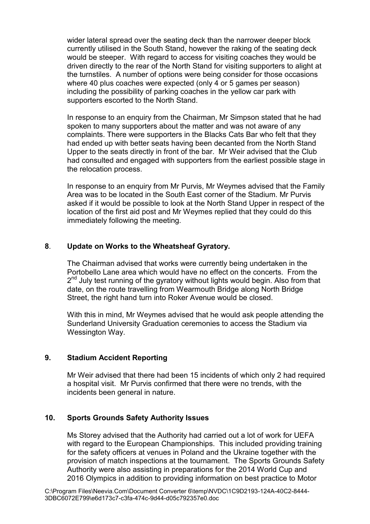wider lateral spread over the seating deck than the narrower deeper block currently utilised in the South Stand, however the raking of the seating deck would be steeper. With regard to access for visiting coaches they would be driven directly to the rear of the North Stand for visiting supporters to alight at the turnstiles. A number of options were being consider for those occasions where 40 plus coaches were expected (only 4 or 5 games per season) including the possibility of parking coaches in the yellow car park with supporters escorted to the North Stand.

 In response to an enquiry from the Chairman, Mr Simpson stated that he had spoken to many supporters about the matter and was not aware of any complaints. There were supporters in the Blacks Cats Bar who felt that they had ended up with better seats having been decanted from the North Stand Upper to the seats directly in front of the bar. Mr Weir advised that the Club had consulted and engaged with supporters from the earliest possible stage in the relocation process.

 In response to an enquiry from Mr Purvis, Mr Weymes advised that the Family Area was to be located in the South East corner of the Stadium. Mr Purvis asked if it would be possible to look at the North Stand Upper in respect of the location of the first aid post and Mr Weymes replied that they could do this immediately following the meeting.

## **8**. **Update on Works to the Wheatsheaf Gyratory.**

The Chairman advised that works were currently being undertaken in the Portobello Lane area which would have no effect on the concerts. From the 2<sup>nd</sup> July test running of the gyratory without lights would begin. Also from that date, on the route travelling from Wearmouth Bridge along North Bridge Street, the right hand turn into Roker Avenue would be closed.

With this in mind, Mr Weymes advised that he would ask people attending the Sunderland University Graduation ceremonies to access the Stadium via Wessington Way.

### **9. Stadium Accident Reporting**

Mr Weir advised that there had been 15 incidents of which only 2 had required a hospital visit. Mr Purvis confirmed that there were no trends, with the incidents been general in nature.

### **10. Sports Grounds Safety Authority Issues**

 Ms Storey advised that the Authority had carried out a lot of work for UEFA with regard to the European Championships. This included providing training for the safety officers at venues in Poland and the Ukraine together with the provision of match inspections at the tournament. The Sports Grounds Safety Authority were also assisting in preparations for the 2014 World Cup and 2016 Olympics in addition to providing information on best practice to Motor